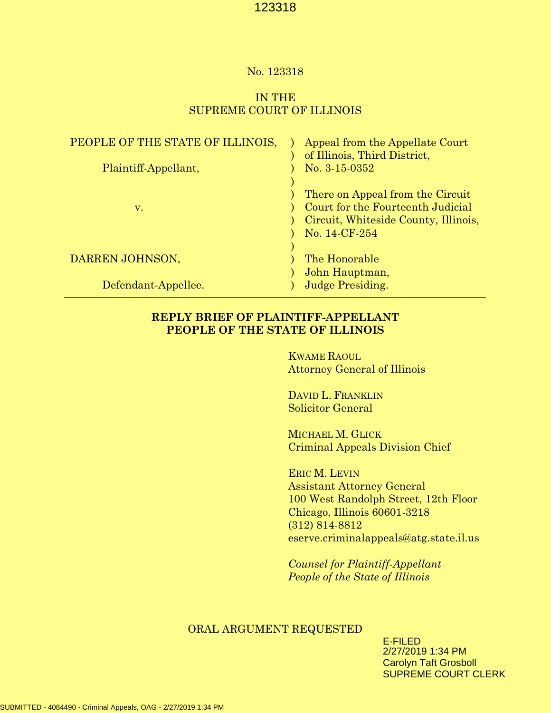#### No. 123318

# IN THE SUPREME COURT OF ILLINOIS

| PEOPLE OF THE STATE OF ILLINOIS,<br>Plaintiff-Appellant, | Appeal from the Appellate Court<br>of Illinois, Third District,<br>No. $3-15-0352$                                             |
|----------------------------------------------------------|--------------------------------------------------------------------------------------------------------------------------------|
| V.                                                       | There on Appeal from the Circuit<br>Court for the Fourteenth Judicial<br>Circuit, Whiteside County, Illinois,<br>No. 14-CF-254 |
| DARREN JOHNSON,                                          | The Honorable<br>John Hauptman,                                                                                                |
| Defendant-Appellee.                                      | Judge Presiding.                                                                                                               |

# **REPLY BRIEF OF PLAINTIFF-APPELLANT PEOPLE OF THE STATE OF ILLINOIS**

KWAME RAOUL Attorney General of Illinois

DAVID L. FRANKLIN Solicitor General

MICHAEL M. GLICK Criminal Appeals Division Chief

ERIC M. LEVIN Assistant Attorney General 100 West Randolph Street, 12th Floor Chicago, Illinois 60601-3218 (312) 814-8812 eserve.criminalappeals@atg.state.il.us

*Counsel for Plaintiff-Appellant People of the State of Illinois*

#### ORAL ARGUMENT REQUESTED

E-FILED 2/27/2019 1:34 PM Carolyn Taft Grosboll SUPREME COURT CLERK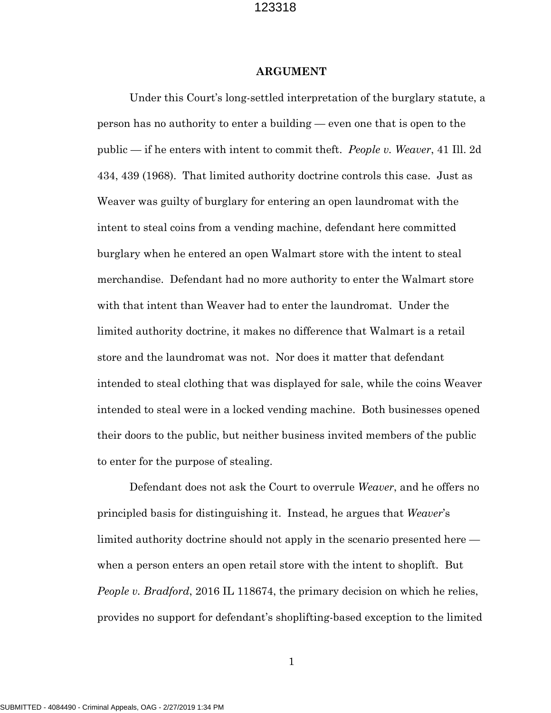#### **ARGUMENT**

Under this Court's long-settled interpretation of the burglary statute, a person has no authority to enter a building — even one that is open to the public — if he enters with intent to commit theft. *People v. Weaver*, 41 Ill. 2d 434, 439 (1968). That limited authority doctrine controls this case. Just as Weaver was guilty of burglary for entering an open laundromat with the intent to steal coins from a vending machine, defendant here committed burglary when he entered an open Walmart store with the intent to steal merchandise. Defendant had no more authority to enter the Walmart store with that intent than Weaver had to enter the laundromat. Under the limited authority doctrine, it makes no difference that Walmart is a retail store and the laundromat was not. Nor does it matter that defendant intended to steal clothing that was displayed for sale, while the coins Weaver intended to steal were in a locked vending machine. Both businesses opened their doors to the public, but neither business invited members of the public to enter for the purpose of stealing.

Defendant does not ask the Court to overrule *Weaver*, and he offers no principled basis for distinguishing it. Instead, he argues that *Weaver*'s limited authority doctrine should not apply in the scenario presented here when a person enters an open retail store with the intent to shoplift. But *People v. Bradford*, 2016 IL 118674, the primary decision on which he relies, provides no support for defendant's shoplifting-based exception to the limited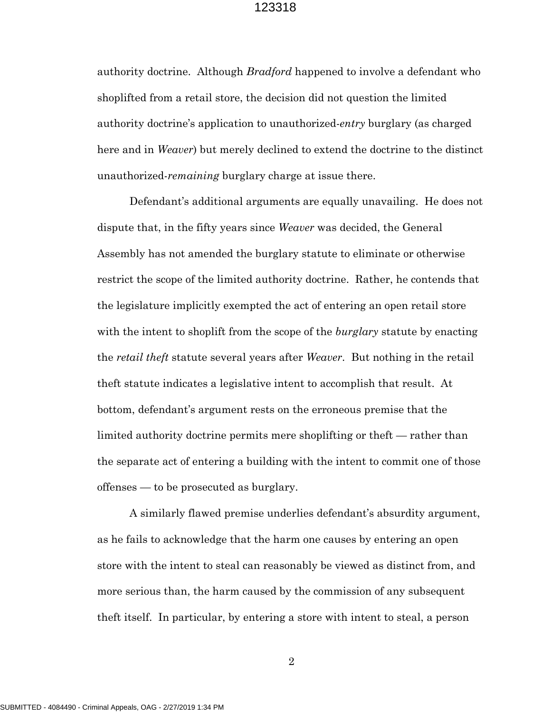authority doctrine. Although *Bradford* happened to involve a defendant who shoplifted from a retail store, the decision did not question the limited authority doctrine's application to unauthorized-*entry* burglary (as charged here and in *Weaver*) but merely declined to extend the doctrine to the distinct unauthorized-*remaining* burglary charge at issue there.

Defendant's additional arguments are equally unavailing. He does not dispute that, in the fifty years since *Weaver* was decided, the General Assembly has not amended the burglary statute to eliminate or otherwise restrict the scope of the limited authority doctrine. Rather, he contends that the legislature implicitly exempted the act of entering an open retail store with the intent to shoplift from the scope of the *burglary* statute by enacting the *retail theft* statute several years after *Weaver*. But nothing in the retail theft statute indicates a legislative intent to accomplish that result. At bottom, defendant's argument rests on the erroneous premise that the limited authority doctrine permits mere shoplifting or theft — rather than the separate act of entering a building with the intent to commit one of those offenses — to be prosecuted as burglary.

A similarly flawed premise underlies defendant's absurdity argument, as he fails to acknowledge that the harm one causes by entering an open store with the intent to steal can reasonably be viewed as distinct from, and more serious than, the harm caused by the commission of any subsequent theft itself. In particular, by entering a store with intent to steal, a person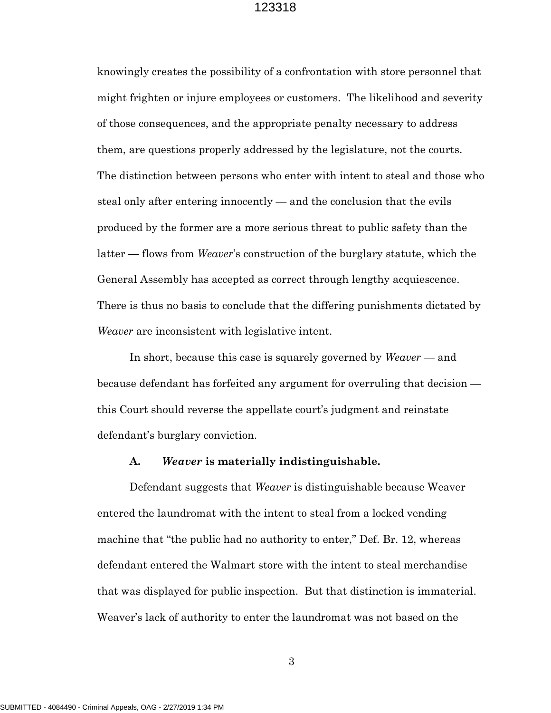knowingly creates the possibility of a confrontation with store personnel that might frighten or injure employees or customers. The likelihood and severity of those consequences, and the appropriate penalty necessary to address them, are questions properly addressed by the legislature, not the courts. The distinction between persons who enter with intent to steal and those who steal only after entering innocently — and the conclusion that the evils produced by the former are a more serious threat to public safety than the latter — flows from *Weaver*'s construction of the burglary statute, which the General Assembly has accepted as correct through lengthy acquiescence. There is thus no basis to conclude that the differing punishments dictated by *Weaver* are inconsistent with legislative intent.

In short, because this case is squarely governed by *Weaver* — and because defendant has forfeited any argument for overruling that decision this Court should reverse the appellate court's judgment and reinstate defendant's burglary conviction.

#### **A.** *Weaver* **is materially indistinguishable.**

Defendant suggests that *Weaver* is distinguishable because Weaver entered the laundromat with the intent to steal from a locked vending machine that "the public had no authority to enter," Def. Br. 12, whereas defendant entered the Walmart store with the intent to steal merchandise that was displayed for public inspection. But that distinction is immaterial. Weaver's lack of authority to enter the laundromat was not based on the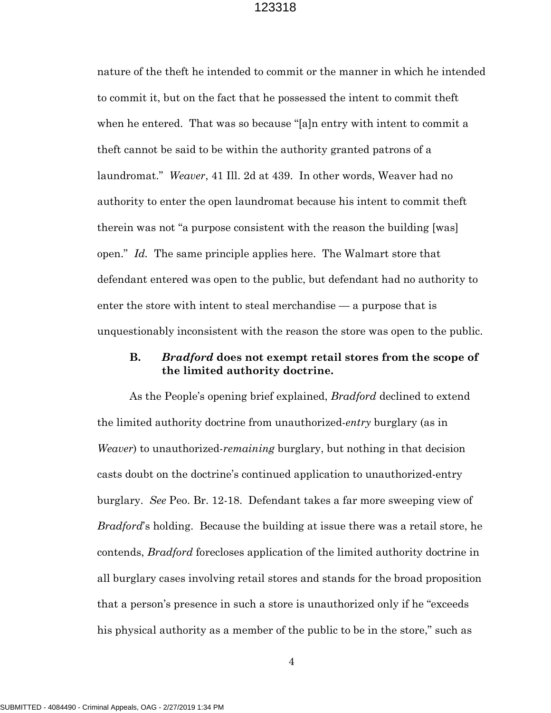nature of the theft he intended to commit or the manner in which he intended to commit it, but on the fact that he possessed the intent to commit theft when he entered. That was so because "[a]n entry with intent to commit a theft cannot be said to be within the authority granted patrons of a laundromat." *Weaver*, 41 Ill. 2d at 439. In other words, Weaver had no authority to enter the open laundromat because his intent to commit theft therein was not "a purpose consistent with the reason the building [was] open." *Id.* The same principle applies here. The Walmart store that defendant entered was open to the public, but defendant had no authority to enter the store with intent to steal merchandise — a purpose that is unquestionably inconsistent with the reason the store was open to the public.

# **B.** *Bradford* **does not exempt retail stores from the scope of the limited authority doctrine.**

As the People's opening brief explained, *Bradford* declined to extend the limited authority doctrine from unauthorized-*entry* burglary (as in *Weaver*) to unauthorized-*remaining* burglary, but nothing in that decision casts doubt on the doctrine's continued application to unauthorized-entry burglary. *See* Peo. Br. 12-18. Defendant takes a far more sweeping view of *Bradford*'s holding. Because the building at issue there was a retail store, he contends, *Bradford* forecloses application of the limited authority doctrine in all burglary cases involving retail stores and stands for the broad proposition that a person's presence in such a store is unauthorized only if he "exceeds his physical authority as a member of the public to be in the store," such as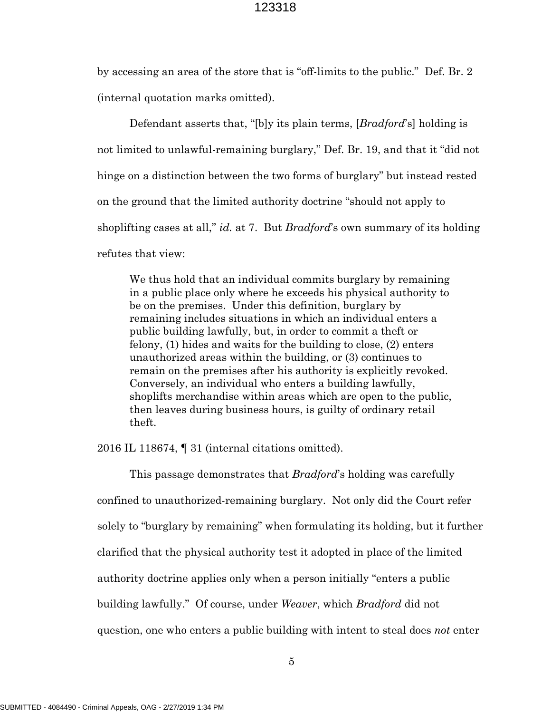by accessing an area of the store that is "off-limits to the public." Def. Br. 2 (internal quotation marks omitted).

Defendant asserts that, "[b]y its plain terms, [*Bradford*'s] holding is not limited to unlawful-remaining burglary," Def. Br. 19, and that it "did not hinge on a distinction between the two forms of burglary" but instead rested on the ground that the limited authority doctrine "should not apply to shoplifting cases at all," *id.* at 7. But *Bradford*'s own summary of its holding refutes that view:

We thus hold that an individual commits burglary by remaining in a public place only where he exceeds his physical authority to be on the premises. Under this definition, burglary by remaining includes situations in which an individual enters a public building lawfully, but, in order to commit a theft or felony, (1) hides and waits for the building to close, (2) enters unauthorized areas within the building, or (3) continues to remain on the premises after his authority is explicitly revoked. Conversely, an individual who enters a building lawfully, shoplifts merchandise within areas which are open to the public, then leaves during business hours, is guilty of ordinary retail theft.

2016 IL 118674, ¶ 31 (internal citations omitted).

This passage demonstrates that *Bradford*'s holding was carefully confined to unauthorized-remaining burglary. Not only did the Court refer solely to "burglary by remaining" when formulating its holding, but it further clarified that the physical authority test it adopted in place of the limited authority doctrine applies only when a person initially "enters a public building lawfully." Of course, under *Weaver*, which *Bradford* did not question, one who enters a public building with intent to steal does *not* enter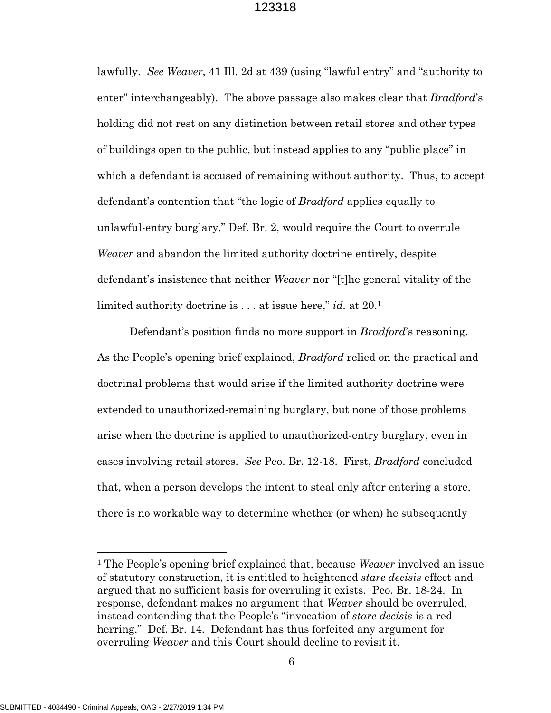lawfully. *See Weaver*, 41 Ill. 2d at 439 (using "lawful entry" and "authority to enter" interchangeably). The above passage also makes clear that *Bradford*'s holding did not rest on any distinction between retail stores and other types of buildings open to the public, but instead applies to any "public place" in which a defendant is accused of remaining without authority. Thus, to accept defendant's contention that "the logic of *Bradford* applies equally to unlawful-entry burglary," Def. Br. 2, would require the Court to overrule *Weaver* and abandon the limited authority doctrine entirely, despite defendant's insistence that neither *Weaver* nor "[t]he general vitality of the limited authority doctrine is . . . at issue here," *id.* at 20.[1](#page-6-0)

Defendant's position finds no more support in *Bradford*'s reasoning. As the People's opening brief explained, *Bradford* relied on the practical and doctrinal problems that would arise if the limited authority doctrine were extended to unauthorized-remaining burglary, but none of those problems arise when the doctrine is applied to unauthorized-entry burglary, even in cases involving retail stores. *See* Peo. Br. 12-18. First, *Bradford* concluded that, when a person develops the intent to steal only after entering a store, there is no workable way to determine whether (or when) he subsequently

<span id="page-6-0"></span><sup>1</sup> The People's opening brief explained that, because *Weaver* involved an issue of statutory construction, it is entitled to heightened *stare decisis* effect and argued that no sufficient basis for overruling it exists. Peo. Br. 18-24. In response, defendant makes no argument that *Weaver* should be overruled, instead contending that the People's "invocation of *stare decisis* is a red herring." Def. Br. 14. Defendant has thus forfeited any argument for overruling *Weaver* and this Court should decline to revisit it.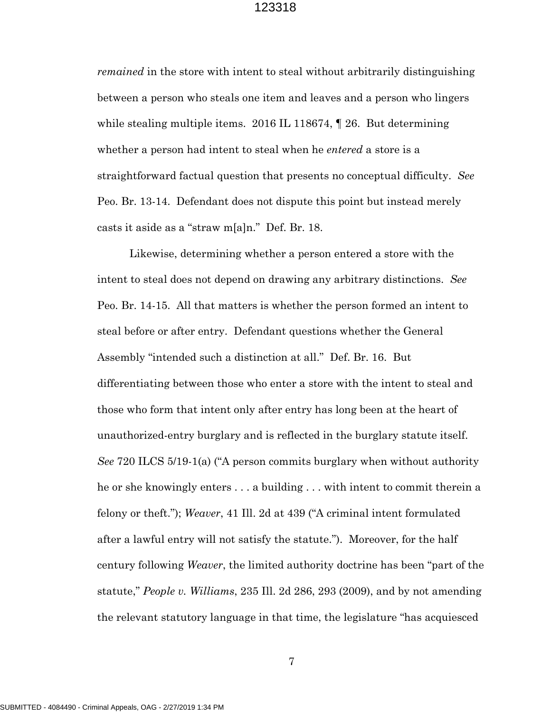*remained* in the store with intent to steal without arbitrarily distinguishing between a person who steals one item and leaves and a person who lingers while stealing multiple items. 2016 IL 118674,  $\parallel$  26. But determining whether a person had intent to steal when he *entered* a store is a straightforward factual question that presents no conceptual difficulty. *See* Peo. Br. 13-14. Defendant does not dispute this point but instead merely casts it aside as a "straw m[a]n." Def. Br. 18.

Likewise, determining whether a person entered a store with the intent to steal does not depend on drawing any arbitrary distinctions. *See* Peo. Br. 14-15. All that matters is whether the person formed an intent to steal before or after entry. Defendant questions whether the General Assembly "intended such a distinction at all." Def. Br. 16. But differentiating between those who enter a store with the intent to steal and those who form that intent only after entry has long been at the heart of unauthorized-entry burglary and is reflected in the burglary statute itself. *See* 720 ILCS 5/19-1(a) ("A person commits burglary when without authority he or she knowingly enters . . . a building . . . with intent to commit therein a felony or theft."); *Weaver*, 41 Ill. 2d at 439 ("A criminal intent formulated after a lawful entry will not satisfy the statute."). Moreover, for the half century following *Weaver*, the limited authority doctrine has been "part of the statute," *People v. Williams*, 235 Ill. 2d 286, 293 (2009), and by not amending the relevant statutory language in that time, the legislature "has acquiesced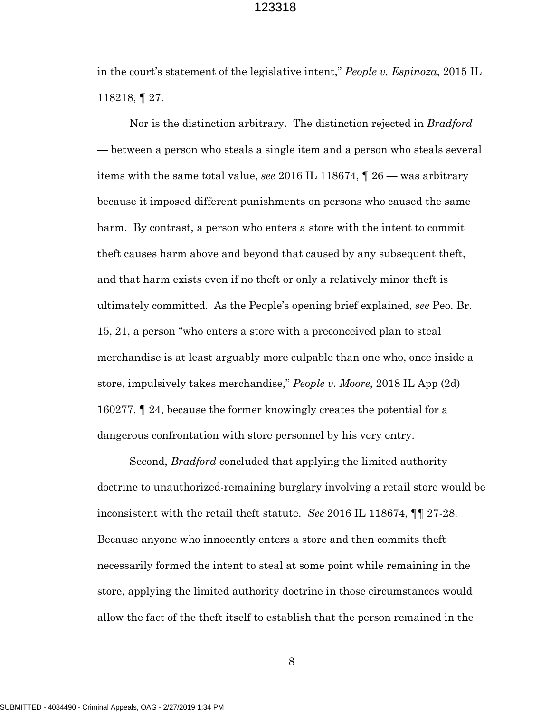in the court's statement of the legislative intent," *People v. Espinoza*, 2015 IL 118218, ¶ 27.

Nor is the distinction arbitrary. The distinction rejected in *Bradford* — between a person who steals a single item and a person who steals several items with the same total value, *see* 2016 IL 118674, ¶ 26 — was arbitrary because it imposed different punishments on persons who caused the same harm. By contrast, a person who enters a store with the intent to commit theft causes harm above and beyond that caused by any subsequent theft, and that harm exists even if no theft or only a relatively minor theft is ultimately committed. As the People's opening brief explained, *see* Peo. Br. 15, 21, a person "who enters a store with a preconceived plan to steal merchandise is at least arguably more culpable than one who, once inside a store, impulsively takes merchandise," *People v. Moore*, 2018 IL App (2d) 160277, ¶ 24, because the former knowingly creates the potential for a dangerous confrontation with store personnel by his very entry.

Second, *Bradford* concluded that applying the limited authority doctrine to unauthorized-remaining burglary involving a retail store would be inconsistent with the retail theft statute. *See* 2016 IL 118674, ¶¶ 27-28. Because anyone who innocently enters a store and then commits theft necessarily formed the intent to steal at some point while remaining in the store, applying the limited authority doctrine in those circumstances would allow the fact of the theft itself to establish that the person remained in the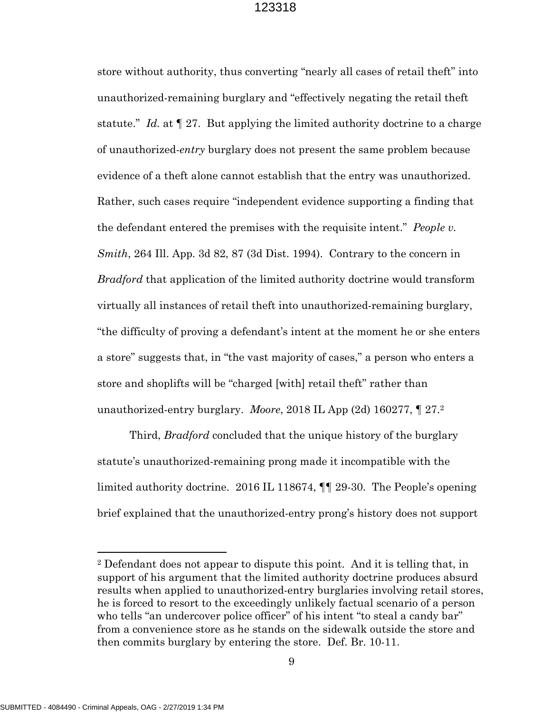store without authority, thus converting "nearly all cases of retail theft" into unauthorized-remaining burglary and "effectively negating the retail theft statute." *Id.* at ¶ 27. But applying the limited authority doctrine to a charge of unauthorized-*entry* burglary does not present the same problem because evidence of a theft alone cannot establish that the entry was unauthorized. Rather, such cases require "independent evidence supporting a finding that the defendant entered the premises with the requisite intent." *People v. Smith*, 264 Ill. App. 3d 82, 87 (3d Dist. 1994). Contrary to the concern in *Bradford* that application of the limited authority doctrine would transform virtually all instances of retail theft into unauthorized-remaining burglary, "the difficulty of proving a defendant's intent at the moment he or she enters a store" suggests that, in "the vast majority of cases," a person who enters a store and shoplifts will be "charged [with] retail theft" rather than unauthorized-entry burglary. *Moore*, 2018 IL App (2d) 160277, ¶ 27.[2](#page-9-0)

Third, *Bradford* concluded that the unique history of the burglary statute's unauthorized-remaining prong made it incompatible with the limited authority doctrine. 2016 IL 118674, ¶¶ 29-30. The People's opening brief explained that the unauthorized-entry prong's history does not support

<span id="page-9-0"></span><sup>2</sup> Defendant does not appear to dispute this point. And it is telling that, in support of his argument that the limited authority doctrine produces absurd results when applied to unauthorized-entry burglaries involving retail stores, he is forced to resort to the exceedingly unlikely factual scenario of a person who tells "an undercover police officer" of his intent "to steal a candy bar" from a convenience store as he stands on the sidewalk outside the store and then commits burglary by entering the store. Def. Br. 10-11.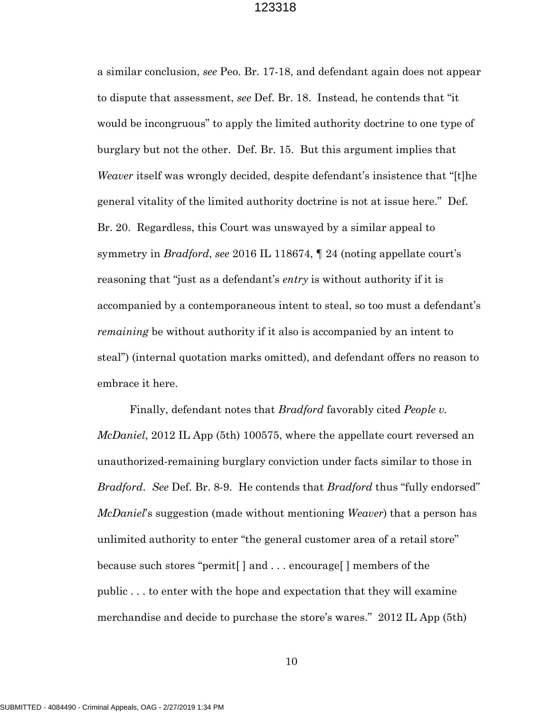a similar conclusion, *see* Peo. Br. 17-18, and defendant again does not appear to dispute that assessment, *see* Def. Br. 18. Instead, he contends that "it would be incongruous" to apply the limited authority doctrine to one type of burglary but not the other. Def. Br. 15. But this argument implies that *Weaver* itself was wrongly decided, despite defendant's insistence that "[t]he general vitality of the limited authority doctrine is not at issue here." Def. Br. 20. Regardless, this Court was unswayed by a similar appeal to symmetry in *Bradford*, *see* 2016 IL 118674, ¶ 24 (noting appellate court's reasoning that "just as a defendant's *entry* is without authority if it is accompanied by a contemporaneous intent to steal, so too must a defendant's *remaining* be without authority if it also is accompanied by an intent to steal") (internal quotation marks omitted), and defendant offers no reason to embrace it here.

Finally, defendant notes that *Bradford* favorably cited *People v. McDaniel*, 2012 IL App (5th) 100575, where the appellate court reversed an unauthorized-remaining burglary conviction under facts similar to those in *Bradford*. *See* Def. Br. 8-9. He contends that *Bradford* thus "fully endorsed" *McDaniel*'s suggestion (made without mentioning *Weaver*) that a person has unlimited authority to enter "the general customer area of a retail store" because such stores "permit[ ] and . . . encourage[ ] members of the public . . . to enter with the hope and expectation that they will examine merchandise and decide to purchase the store's wares." 2012 IL App (5th)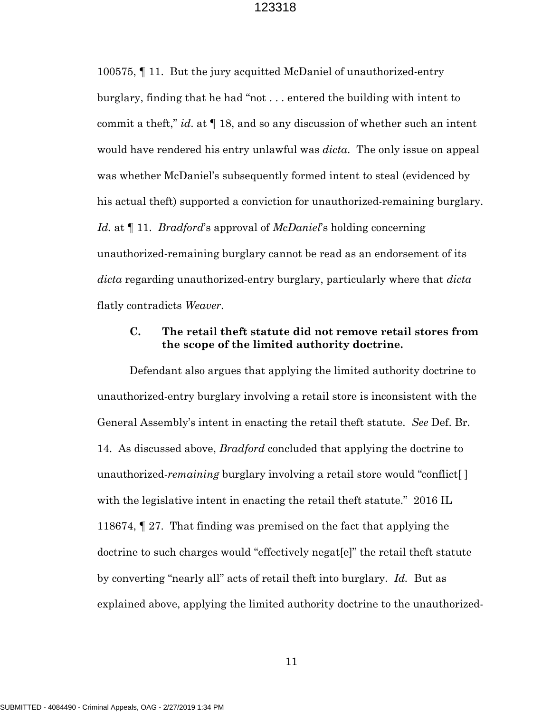100575, ¶ 11. But the jury acquitted McDaniel of unauthorized-entry burglary, finding that he had "not . . . entered the building with intent to commit a theft," *id*. at ¶ 18, and so any discussion of whether such an intent would have rendered his entry unlawful was *dicta*. The only issue on appeal was whether McDaniel's subsequently formed intent to steal (evidenced by his actual theft) supported a conviction for unauthorized-remaining burglary. *Id.* at ¶ 11. *Bradford*'s approval of *McDaniel*'s holding concerning unauthorized-remaining burglary cannot be read as an endorsement of its *dicta* regarding unauthorized-entry burglary, particularly where that *dicta* flatly contradicts *Weaver*.

# **C. The retail theft statute did not remove retail stores from the scope of the limited authority doctrine.**

Defendant also argues that applying the limited authority doctrine to unauthorized-entry burglary involving a retail store is inconsistent with the General Assembly's intent in enacting the retail theft statute. *See* Def. Br. 14. As discussed above, *Bradford* concluded that applying the doctrine to unauthorized-*remaining* burglary involving a retail store would "conflict[ ] with the legislative intent in enacting the retail theft statute." 2016 IL 118674, ¶ 27. That finding was premised on the fact that applying the doctrine to such charges would "effectively negat[e]" the retail theft statute by converting "nearly all" acts of retail theft into burglary. *Id.* But as explained above, applying the limited authority doctrine to the unauthorized-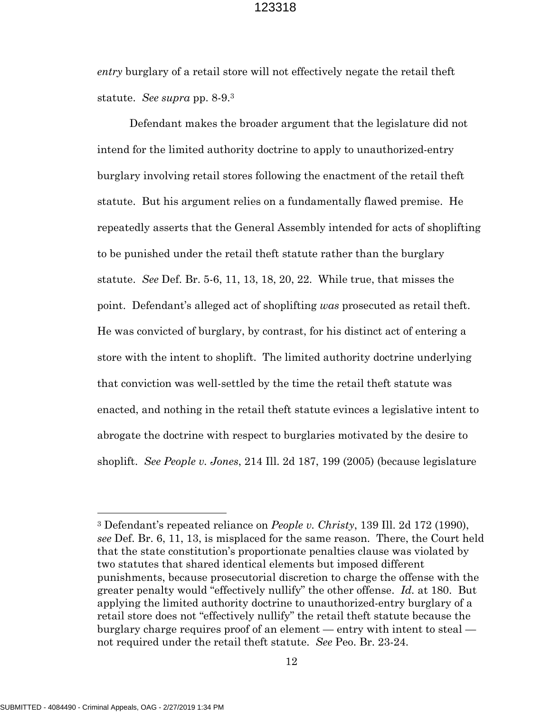*entry* burglary of a retail store will not effectively negate the retail theft statute. *See supra* pp. 8-9.[3](#page-12-0)

Defendant makes the broader argument that the legislature did not intend for the limited authority doctrine to apply to unauthorized-entry burglary involving retail stores following the enactment of the retail theft statute. But his argument relies on a fundamentally flawed premise. He repeatedly asserts that the General Assembly intended for acts of shoplifting to be punished under the retail theft statute rather than the burglary statute. *See* Def. Br. 5-6, 11, 13, 18, 20, 22. While true, that misses the point. Defendant's alleged act of shoplifting *was* prosecuted as retail theft. He was convicted of burglary, by contrast, for his distinct act of entering a store with the intent to shoplift. The limited authority doctrine underlying that conviction was well-settled by the time the retail theft statute was enacted, and nothing in the retail theft statute evinces a legislative intent to abrogate the doctrine with respect to burglaries motivated by the desire to shoplift. *See People v. Jones*, 214 Ill. 2d 187, 199 (2005) (because legislature

<span id="page-12-0"></span><sup>3</sup> Defendant's repeated reliance on *People v. Christy*, 139 Ill. 2d 172 (1990), *see* Def. Br. 6, 11, 13, is misplaced for the same reason. There, the Court held that the state constitution's proportionate penalties clause was violated by two statutes that shared identical elements but imposed different punishments, because prosecutorial discretion to charge the offense with the greater penalty would "effectively nullify" the other offense. *Id.* at 180. But applying the limited authority doctrine to unauthorized-entry burglary of a retail store does not "effectively nullify" the retail theft statute because the burglary charge requires proof of an element — entry with intent to steal not required under the retail theft statute. *See* Peo. Br. 23-24.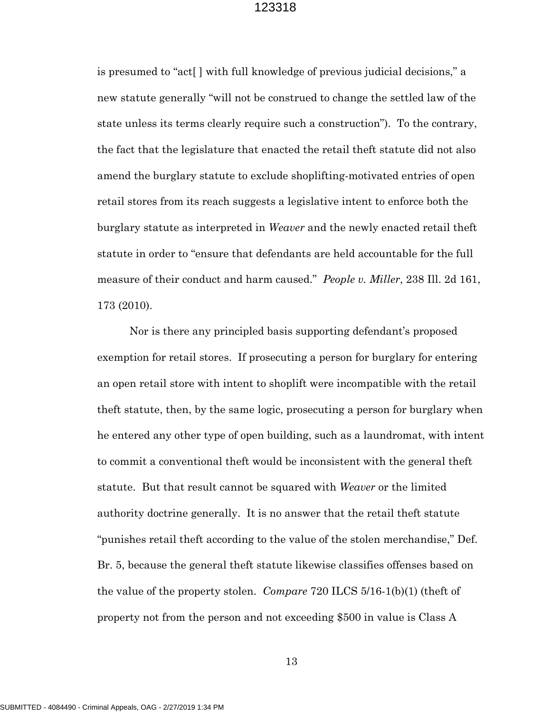is presumed to "act[ ] with full knowledge of previous judicial decisions," a new statute generally "will not be construed to change the settled law of the state unless its terms clearly require such a construction"). To the contrary, the fact that the legislature that enacted the retail theft statute did not also amend the burglary statute to exclude shoplifting-motivated entries of open retail stores from its reach suggests a legislative intent to enforce both the burglary statute as interpreted in *Weaver* and the newly enacted retail theft statute in order to "ensure that defendants are held accountable for the full measure of their conduct and harm caused." *People v. Miller*, 238 Ill. 2d 161, 173 (2010).

Nor is there any principled basis supporting defendant's proposed exemption for retail stores. If prosecuting a person for burglary for entering an open retail store with intent to shoplift were incompatible with the retail theft statute, then, by the same logic, prosecuting a person for burglary when he entered any other type of open building, such as a laundromat, with intent to commit a conventional theft would be inconsistent with the general theft statute. But that result cannot be squared with *Weaver* or the limited authority doctrine generally. It is no answer that the retail theft statute "punishes retail theft according to the value of the stolen merchandise," Def. Br. 5, because the general theft statute likewise classifies offenses based on the value of the property stolen. *Compare* 720 ILCS 5/16-1(b)(1) (theft of property not from the person and not exceeding \$500 in value is Class A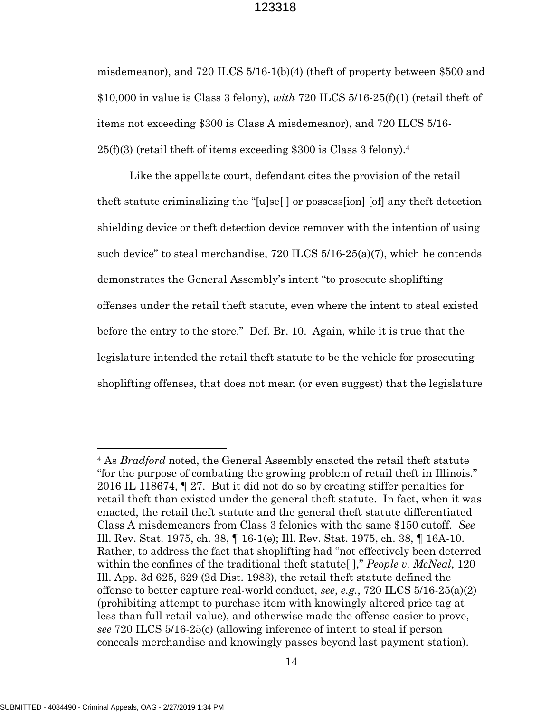misdemeanor), and 720 ILCS 5/16-1(b)(4) (theft of property between \$500 and \$10,000 in value is Class 3 felony), *with* 720 ILCS 5/16-25(f)(1) (retail theft of items not exceeding \$300 is Class A misdemeanor), and 720 ILCS 5/16-  $25(f)(3)$  (retail theft of items exceeding \$300 is Class 3 felony).<sup>[4](#page-14-0)</sup>

Like the appellate court, defendant cites the provision of the retail theft statute criminalizing the "[u]se[ ] or possess[ion] [of] any theft detection shielding device or theft detection device remover with the intention of using such device" to steal merchandise,  $720$  ILCS  $5/16-25(a)(7)$ , which he contends demonstrates the General Assembly's intent "to prosecute shoplifting offenses under the retail theft statute, even where the intent to steal existed before the entry to the store." Def. Br. 10. Again, while it is true that the legislature intended the retail theft statute to be the vehicle for prosecuting shoplifting offenses, that does not mean (or even suggest) that the legislature

<span id="page-14-0"></span><sup>4</sup> As *Bradford* noted, the General Assembly enacted the retail theft statute "for the purpose of combating the growing problem of retail theft in Illinois." 2016 IL 118674, ¶ 27. But it did not do so by creating stiffer penalties for retail theft than existed under the general theft statute. In fact, when it was enacted, the retail theft statute and the general theft statute differentiated Class A misdemeanors from Class 3 felonies with the same \$150 cutoff. *See* Ill. Rev. Stat. 1975, ch. 38, ¶ 16-1(e); Ill. Rev. Stat. 1975, ch. 38, ¶ 16A-10. Rather, to address the fact that shoplifting had "not effectively been deterred within the confines of the traditional theft statute[ ]," *People v. McNeal*, 120 Ill. App. 3d 625, 629 (2d Dist. 1983), the retail theft statute defined the offense to better capture real-world conduct, *see*, *e.g.*, 720 ILCS 5/16-25(a)(2) (prohibiting attempt to purchase item with knowingly altered price tag at less than full retail value), and otherwise made the offense easier to prove, *see* 720 ILCS 5/16-25(c) (allowing inference of intent to steal if person conceals merchandise and knowingly passes beyond last payment station).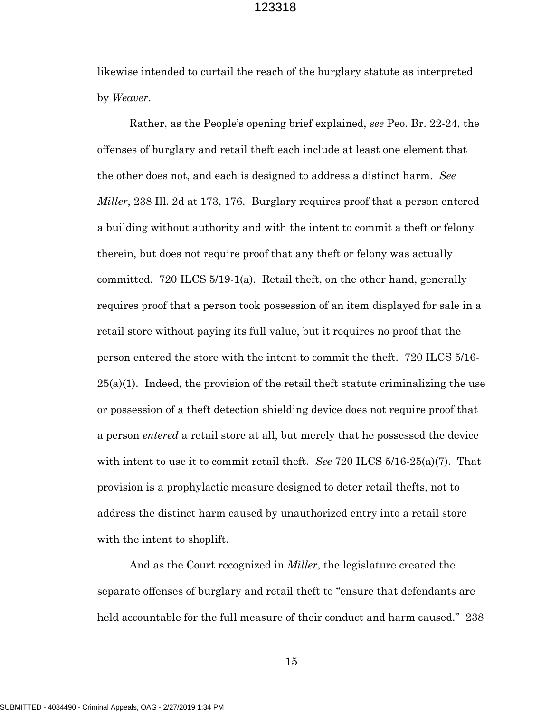likewise intended to curtail the reach of the burglary statute as interpreted by *Weaver*.

Rather, as the People's opening brief explained, *see* Peo. Br. 22-24, the offenses of burglary and retail theft each include at least one element that the other does not, and each is designed to address a distinct harm. *See Miller*, 238 Ill. 2d at 173, 176. Burglary requires proof that a person entered a building without authority and with the intent to commit a theft or felony therein, but does not require proof that any theft or felony was actually committed. 720 ILCS 5/19-1(a). Retail theft, on the other hand, generally requires proof that a person took possession of an item displayed for sale in a retail store without paying its full value, but it requires no proof that the person entered the store with the intent to commit the theft. 720 ILCS 5/16-  $25(a)(1)$ . Indeed, the provision of the retail theft statute criminalizing the use or possession of a theft detection shielding device does not require proof that a person *entered* a retail store at all, but merely that he possessed the device with intent to use it to commit retail theft. *See* 720 ILCS 5/16-25(a)(7). That provision is a prophylactic measure designed to deter retail thefts, not to address the distinct harm caused by unauthorized entry into a retail store with the intent to shoplift.

And as the Court recognized in *Miller*, the legislature created the separate offenses of burglary and retail theft to "ensure that defendants are held accountable for the full measure of their conduct and harm caused." 238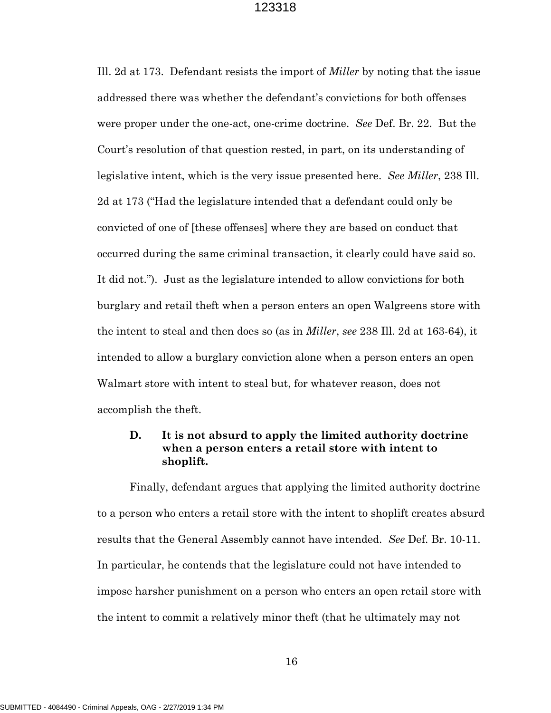Ill. 2d at 173. Defendant resists the import of *Miller* by noting that the issue addressed there was whether the defendant's convictions for both offenses were proper under the one-act, one-crime doctrine. *See* Def. Br. 22. But the Court's resolution of that question rested, in part, on its understanding of legislative intent, which is the very issue presented here. *See Miller*, 238 Ill. 2d at 173 ("Had the legislature intended that a defendant could only be convicted of one of [these offenses] where they are based on conduct that occurred during the same criminal transaction, it clearly could have said so. It did not."). Just as the legislature intended to allow convictions for both burglary and retail theft when a person enters an open Walgreens store with the intent to steal and then does so (as in *Miller*, *see* 238 Ill. 2d at 163-64), it intended to allow a burglary conviction alone when a person enters an open Walmart store with intent to steal but, for whatever reason, does not accomplish the theft.

# **D. It is not absurd to apply the limited authority doctrine when a person enters a retail store with intent to shoplift.**

Finally, defendant argues that applying the limited authority doctrine to a person who enters a retail store with the intent to shoplift creates absurd results that the General Assembly cannot have intended. *See* Def. Br. 10-11. In particular, he contends that the legislature could not have intended to impose harsher punishment on a person who enters an open retail store with the intent to commit a relatively minor theft (that he ultimately may not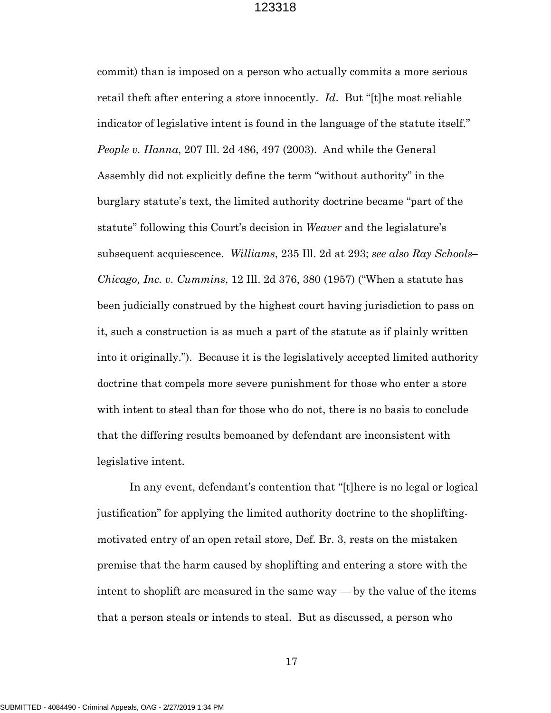commit) than is imposed on a person who actually commits a more serious retail theft after entering a store innocently. *Id*. But "[t]he most reliable indicator of legislative intent is found in the language of the statute itself." *People v. Hanna*, 207 Ill. 2d 486, 497 (2003). And while the General Assembly did not explicitly define the term "without authority" in the burglary statute's text, the limited authority doctrine became "part of the statute" following this Court's decision in *Weaver* and the legislature's subsequent acquiescence. *Williams*, 235 Ill. 2d at 293; *see also Ray Schools– Chicago, Inc. v. Cummins*, 12 Ill. 2d 376, 380 (1957) ("When a statute has been judicially construed by the highest court having jurisdiction to pass on it, such a construction is as much a part of the statute as if plainly written into it originally."). Because it is the legislatively accepted limited authority doctrine that compels more severe punishment for those who enter a store with intent to steal than for those who do not, there is no basis to conclude that the differing results bemoaned by defendant are inconsistent with legislative intent.

In any event, defendant's contention that "[t]here is no legal or logical justification" for applying the limited authority doctrine to the shopliftingmotivated entry of an open retail store, Def. Br. 3, rests on the mistaken premise that the harm caused by shoplifting and entering a store with the intent to shoplift are measured in the same way — by the value of the items that a person steals or intends to steal. But as discussed, a person who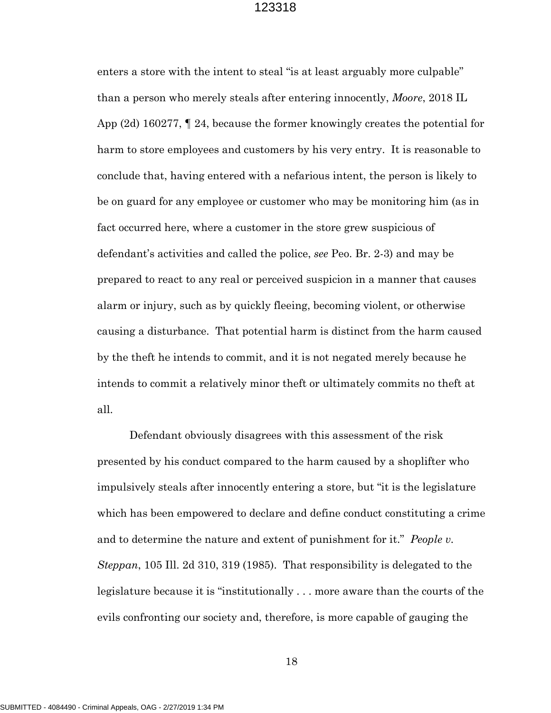enters a store with the intent to steal "is at least arguably more culpable" than a person who merely steals after entering innocently, *Moore*, 2018 IL App (2d) 160277, ¶ 24, because the former knowingly creates the potential for harm to store employees and customers by his very entry. It is reasonable to conclude that, having entered with a nefarious intent, the person is likely to be on guard for any employee or customer who may be monitoring him (as in fact occurred here, where a customer in the store grew suspicious of defendant's activities and called the police, *see* Peo. Br. 2-3) and may be prepared to react to any real or perceived suspicion in a manner that causes alarm or injury, such as by quickly fleeing, becoming violent, or otherwise causing a disturbance. That potential harm is distinct from the harm caused by the theft he intends to commit, and it is not negated merely because he intends to commit a relatively minor theft or ultimately commits no theft at all.

Defendant obviously disagrees with this assessment of the risk presented by his conduct compared to the harm caused by a shoplifter who impulsively steals after innocently entering a store, but "it is the legislature which has been empowered to declare and define conduct constituting a crime and to determine the nature and extent of punishment for it." *People v. Steppan*, 105 Ill. 2d 310, 319 (1985). That responsibility is delegated to the legislature because it is "institutionally . . . more aware than the courts of the evils confronting our society and, therefore, is more capable of gauging the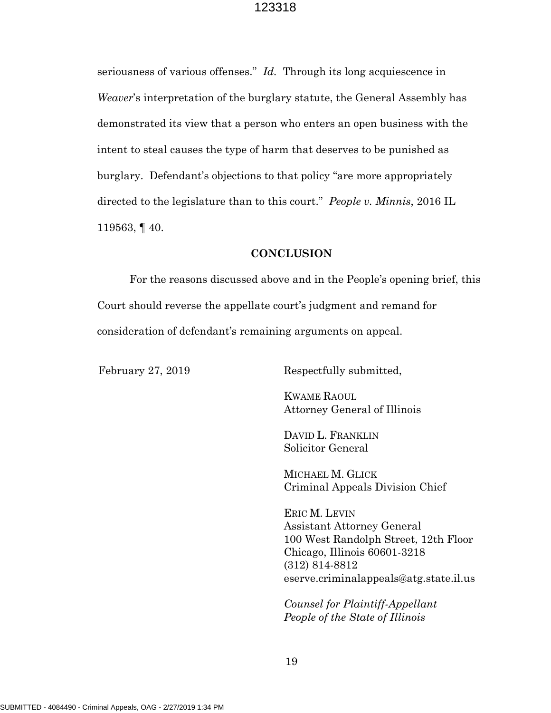seriousness of various offenses." *Id.* Through its long acquiescence in *Weaver*'s interpretation of the burglary statute, the General Assembly has demonstrated its view that a person who enters an open business with the intent to steal causes the type of harm that deserves to be punished as burglary. Defendant's objections to that policy "are more appropriately directed to the legislature than to this court." *People v. Minnis*, 2016 IL 119563, ¶ 40.

#### **CONCLUSION**

For the reasons discussed above and in the People's opening brief, this Court should reverse the appellate court's judgment and remand for consideration of defendant's remaining arguments on appeal.

February 27, 2019 Respectfully submitted,

KWAME RAOUL Attorney General of Illinois

DAVID L. FRANKLIN Solicitor General

MICHAEL M. GLICK Criminal Appeals Division Chief

ERIC M. LEVIN Assistant Attorney General 100 West Randolph Street, 12th Floor Chicago, Illinois 60601-3218 (312) 814-8812 eserve.criminalappeals@atg.state.il.us

*Counsel for Plaintiff-Appellant People of the State of Illinois*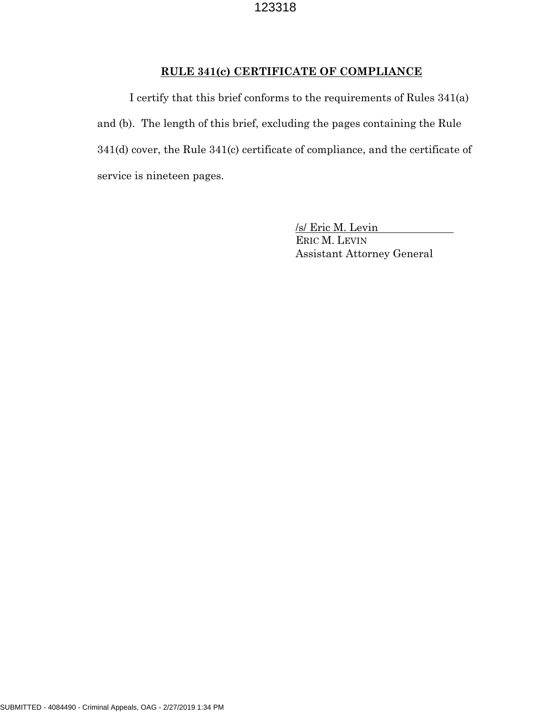# **RULE 341(c) CERTIFICATE OF COMPLIANCE**

I certify that this brief conforms to the requirements of Rules 341(a) and (b). The length of this brief, excluding the pages containing the Rule 341(d) cover, the Rule 341(c) certificate of compliance, and the certificate of service is nineteen pages.

> /s/ Eric M. Levin ERIC M. LEVIN Assistant Attorney General